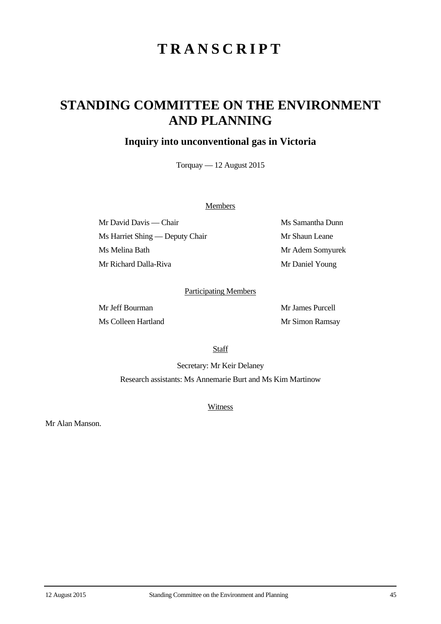# **TRANSCRIPT**

## **STANDING COMMITTEE ON THE ENVIRONMENT AND PLANNING**

## **Inquiry into unconventional gas in Victoria**

Torquay — 12 August 2015

#### **Members**

Mr David Davis — Chair Ms Samantha Dunn Ms Harriet Shing — Deputy Chair Mr Shaun Leane Ms Melina Bath Mr Adem Somyurek Mr Richard Dalla-Riva Mr Daniel Young

### Participating Members

Mr Jeff Bourman Mr James Purcell Ms Colleen Hartland Mr Simon Ramsay

**Staff** 

Secretary: Mr Keir Delaney Research assistants: Ms Annemarie Burt and Ms Kim Martinow

**Witness** 

Mr Alan Manson.